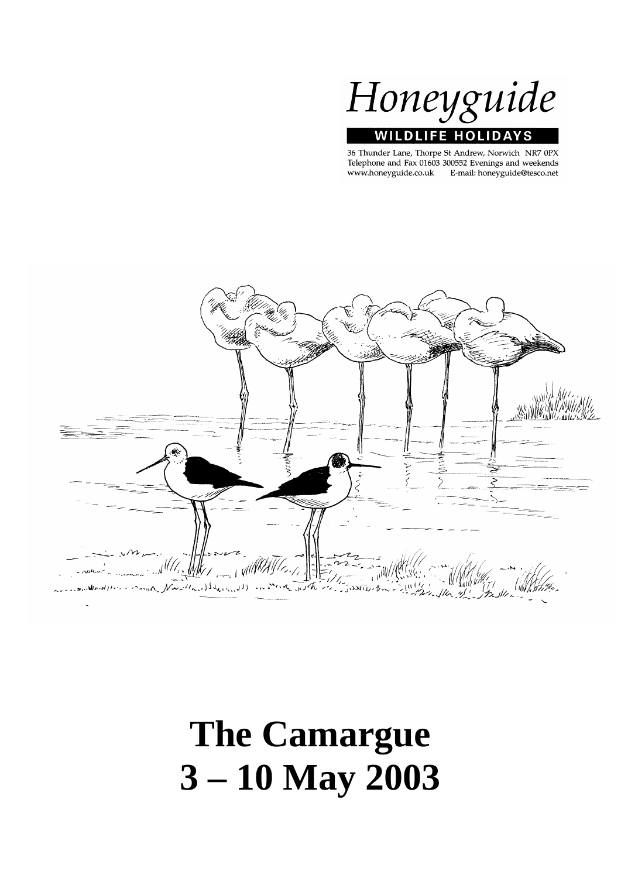

36 Thunder Lane, Thorpe St Andrew, Norwich NR7 0PX Telephone and Fax 01603 300552 Evenings and weekends www.honeyguide.co.uk E-mail: honeyguide@tesco.net



# **The Camargue 3 – 10 May 2003**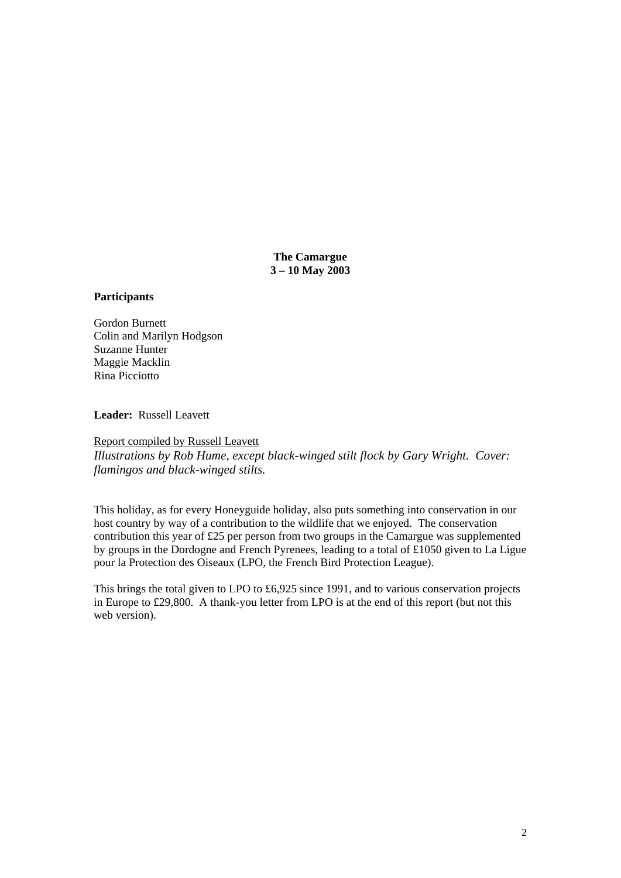**The Camargue 3 – 10 May 2003** 

#### **Participants**

Gordon Burnett Colin and Marilyn Hodgson Suzanne Hunter Maggie Macklin Rina Picciotto

**Leader:** Russell Leavett

Report compiled by Russell Leavett *Illustrations by Rob Hume, except black-winged stilt flock by Gary Wright. Cover: flamingos and black-winged stilts.* 

This holiday, as for every Honeyguide holiday, also puts something into conservation in our host country by way of a contribution to the wildlife that we enjoyed. The conservation contribution this year of £25 per person from two groups in the Camargue was supplemented by groups in the Dordogne and French Pyrenees, leading to a total of £1050 given to La Ligue pour la Protection des Oiseaux (LPO, the French Bird Protection League).

This brings the total given to LPO to £6,925 since 1991, and to various conservation projects in Europe to £29,800. A thank-you letter from LPO is at the end of this report (but not this web version).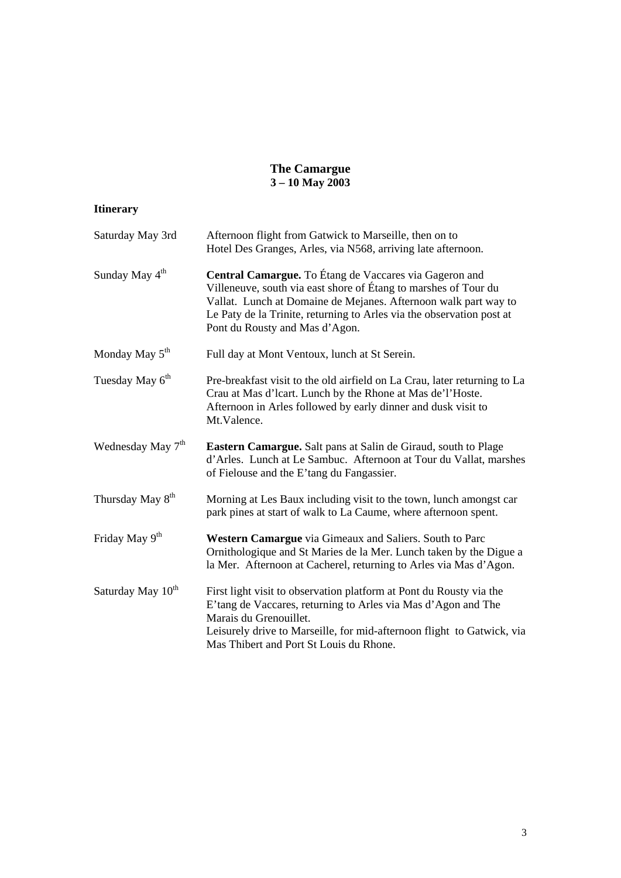#### **The Camargue 3 – 10 May 2003**

## **Itinerary**

| Saturday May 3rd              | Afternoon flight from Gatwick to Marseille, then on to<br>Hotel Des Granges, Arles, via N568, arriving late afternoon.                                                                                                                                                                                  |
|-------------------------------|---------------------------------------------------------------------------------------------------------------------------------------------------------------------------------------------------------------------------------------------------------------------------------------------------------|
| Sunday May 4 <sup>th</sup>    | Central Camargue. To Étang de Vaccares via Gageron and<br>Villeneuve, south via east shore of Étang to marshes of Tour du<br>Vallat. Lunch at Domaine de Mejanes. Afternoon walk part way to<br>Le Paty de la Trinite, returning to Arles via the observation post at<br>Pont du Rousty and Mas d'Agon. |
| Monday May $5th$              | Full day at Mont Ventoux, lunch at St Serein.                                                                                                                                                                                                                                                           |
| Tuesday May 6 <sup>th</sup>   | Pre-breakfast visit to the old airfield on La Crau, later returning to La<br>Crau at Mas d'Icart. Lunch by the Rhone at Mas de'l'Hoste.<br>Afternoon in Arles followed by early dinner and dusk visit to<br>Mt.Valence.                                                                                 |
| Wednesday May 7 <sup>th</sup> | Eastern Camargue. Salt pans at Salin de Giraud, south to Plage<br>d'Arles. Lunch at Le Sambuc. Afternoon at Tour du Vallat, marshes<br>of Fielouse and the E'tang du Fangassier.                                                                                                                        |
| Thursday May 8 <sup>th</sup>  | Morning at Les Baux including visit to the town, lunch amongst car<br>park pines at start of walk to La Caume, where afternoon spent.                                                                                                                                                                   |
| Friday May 9 <sup>th</sup>    | Western Camargue via Gimeaux and Saliers. South to Parc<br>Ornithologique and St Maries de la Mer. Lunch taken by the Digue a<br>la Mer. Afternoon at Cacherel, returning to Arles via Mas d'Agon.                                                                                                      |
| Saturday May 10 <sup>th</sup> | First light visit to observation platform at Pont du Rousty via the<br>E'tang de Vaccares, returning to Arles via Mas d'Agon and The<br>Marais du Grenouillet.<br>Leisurely drive to Marseille, for mid-afternoon flight to Gatwick, via<br>Mas Thibert and Port St Louis du Rhone.                     |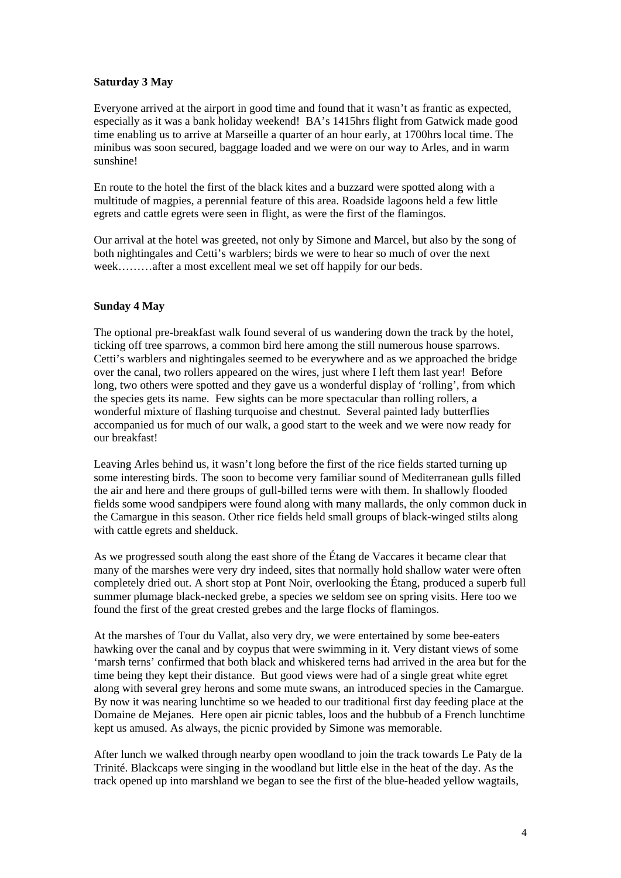#### **Saturday 3 May**

Everyone arrived at the airport in good time and found that it wasn't as frantic as expected, especially as it was a bank holiday weekend! BA's 1415hrs flight from Gatwick made good time enabling us to arrive at Marseille a quarter of an hour early, at 1700hrs local time. The minibus was soon secured, baggage loaded and we were on our way to Arles, and in warm sunshine!

En route to the hotel the first of the black kites and a buzzard were spotted along with a multitude of magpies, a perennial feature of this area. Roadside lagoons held a few little egrets and cattle egrets were seen in flight, as were the first of the flamingos.

Our arrival at the hotel was greeted, not only by Simone and Marcel, but also by the song of both nightingales and Cetti's warblers; birds we were to hear so much of over the next week………after a most excellent meal we set off happily for our beds.

### **Sunday 4 May**

The optional pre-breakfast walk found several of us wandering down the track by the hotel, ticking off tree sparrows, a common bird here among the still numerous house sparrows. Cetti's warblers and nightingales seemed to be everywhere and as we approached the bridge over the canal, two rollers appeared on the wires, just where I left them last year! Before long, two others were spotted and they gave us a wonderful display of 'rolling', from which the species gets its name. Few sights can be more spectacular than rolling rollers, a wonderful mixture of flashing turquoise and chestnut. Several painted lady butterflies accompanied us for much of our walk, a good start to the week and we were now ready for our breakfast!

Leaving Arles behind us, it wasn't long before the first of the rice fields started turning up some interesting birds. The soon to become very familiar sound of Mediterranean gulls filled the air and here and there groups of gull-billed terns were with them. In shallowly flooded fields some wood sandpipers were found along with many mallards, the only common duck in the Camargue in this season. Other rice fields held small groups of black-winged stilts along with cattle egrets and shelduck.

As we progressed south along the east shore of the Étang de Vaccares it became clear that many of the marshes were very dry indeed, sites that normally hold shallow water were often completely dried out. A short stop at Pont Noir, overlooking the Étang, produced a superb full summer plumage black-necked grebe, a species we seldom see on spring visits. Here too we found the first of the great crested grebes and the large flocks of flamingos.

At the marshes of Tour du Vallat, also very dry, we were entertained by some bee-eaters hawking over the canal and by coypus that were swimming in it. Very distant views of some 'marsh terns' confirmed that both black and whiskered terns had arrived in the area but for the time being they kept their distance. But good views were had of a single great white egret along with several grey herons and some mute swans, an introduced species in the Camargue. By now it was nearing lunchtime so we headed to our traditional first day feeding place at the Domaine de Mejanes. Here open air picnic tables, loos and the hubbub of a French lunchtime kept us amused. As always, the picnic provided by Simone was memorable.

After lunch we walked through nearby open woodland to join the track towards Le Paty de la Trinité. Blackcaps were singing in the woodland but little else in the heat of the day. As the track opened up into marshland we began to see the first of the blue-headed yellow wagtails,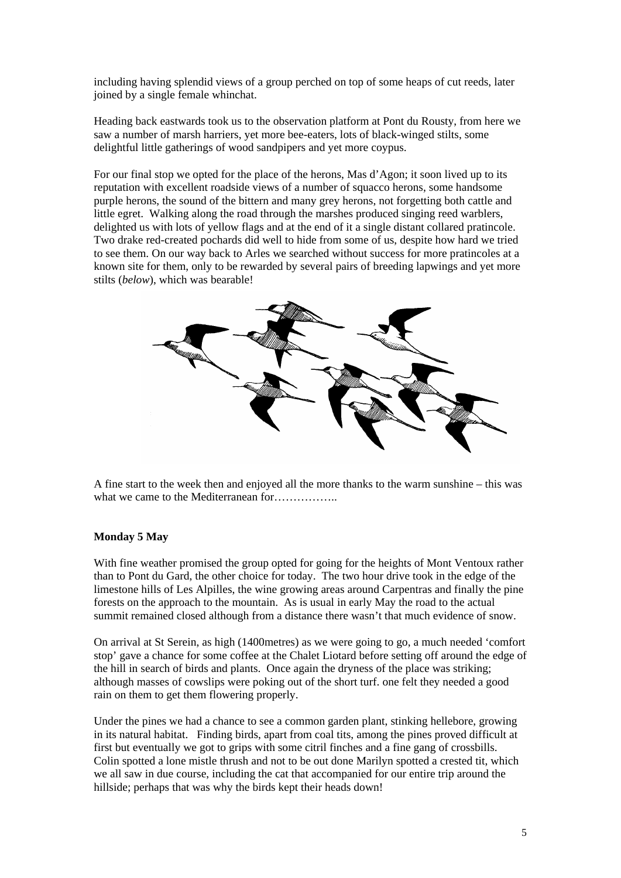including having splendid views of a group perched on top of some heaps of cut reeds, later joined by a single female whinchat.

Heading back eastwards took us to the observation platform at Pont du Rousty, from here we saw a number of marsh harriers, yet more bee-eaters, lots of black-winged stilts, some delightful little gatherings of wood sandpipers and yet more coypus.

For our final stop we opted for the place of the herons, Mas d'Agon; it soon lived up to its reputation with excellent roadside views of a number of squacco herons, some handsome purple herons, the sound of the bittern and many grey herons, not forgetting both cattle and little egret. Walking along the road through the marshes produced singing reed warblers, delighted us with lots of yellow flags and at the end of it a single distant collared pratincole. Two drake red-created pochards did well to hide from some of us, despite how hard we tried to see them. On our way back to Arles we searched without success for more pratincoles at a known site for them, only to be rewarded by several pairs of breeding lapwings and yet more stilts (*below*), which was bearable!



A fine start to the week then and enjoyed all the more thanks to the warm sunshine – this was what we came to the Mediterranean for…………….

#### **Monday 5 May**

With fine weather promised the group opted for going for the heights of Mont Ventoux rather than to Pont du Gard, the other choice for today. The two hour drive took in the edge of the limestone hills of Les Alpilles, the wine growing areas around Carpentras and finally the pine forests on the approach to the mountain. As is usual in early May the road to the actual summit remained closed although from a distance there wasn't that much evidence of snow.

On arrival at St Serein, as high (1400metres) as we were going to go, a much needed 'comfort stop' gave a chance for some coffee at the Chalet Liotard before setting off around the edge of the hill in search of birds and plants. Once again the dryness of the place was striking; although masses of cowslips were poking out of the short turf. one felt they needed a good rain on them to get them flowering properly.

Under the pines we had a chance to see a common garden plant, stinking hellebore, growing in its natural habitat. Finding birds, apart from coal tits, among the pines proved difficult at first but eventually we got to grips with some citril finches and a fine gang of crossbills. Colin spotted a lone mistle thrush and not to be out done Marilyn spotted a crested tit, which we all saw in due course, including the cat that accompanied for our entire trip around the hillside; perhaps that was why the birds kept their heads down!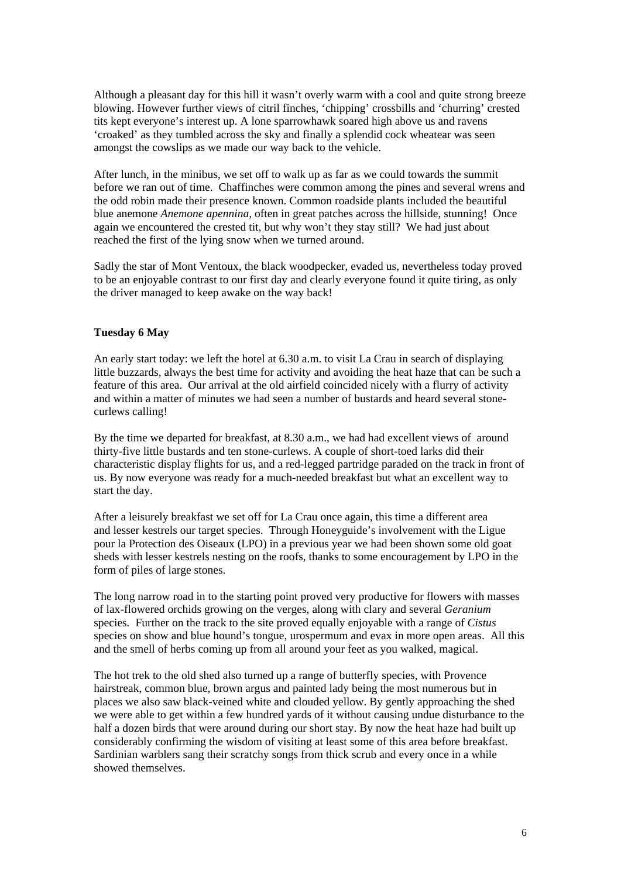Although a pleasant day for this hill it wasn't overly warm with a cool and quite strong breeze blowing. However further views of citril finches, 'chipping' crossbills and 'churring' crested tits kept everyone's interest up. A lone sparrowhawk soared high above us and ravens 'croaked' as they tumbled across the sky and finally a splendid cock wheatear was seen amongst the cowslips as we made our way back to the vehicle.

After lunch, in the minibus, we set off to walk up as far as we could towards the summit before we ran out of time. Chaffinches were common among the pines and several wrens and the odd robin made their presence known. Common roadside plants included the beautiful blue anemone *Anemone apennina,* often in great patches across the hillside, stunning! Once again we encountered the crested tit, but why won't they stay still? We had just about reached the first of the lying snow when we turned around.

Sadly the star of Mont Ventoux, the black woodpecker, evaded us, nevertheless today proved to be an enjoyable contrast to our first day and clearly everyone found it quite tiring, as only the driver managed to keep awake on the way back!

#### **Tuesday 6 May**

An early start today: we left the hotel at 6.30 a.m. to visit La Crau in search of displaying little buzzards, always the best time for activity and avoiding the heat haze that can be such a feature of this area. Our arrival at the old airfield coincided nicely with a flurry of activity and within a matter of minutes we had seen a number of bustards and heard several stonecurlews calling!

By the time we departed for breakfast, at 8.30 a.m., we had had excellent views of around thirty-five little bustards and ten stone-curlews. A couple of short-toed larks did their characteristic display flights for us, and a red-legged partridge paraded on the track in front of us. By now everyone was ready for a much-needed breakfast but what an excellent way to start the day.

After a leisurely breakfast we set off for La Crau once again, this time a different area and lesser kestrels our target species. Through Honeyguide's involvement with the Ligue pour la Protection des Oiseaux (LPO) in a previous year we had been shown some old goat sheds with lesser kestrels nesting on the roofs, thanks to some encouragement by LPO in the form of piles of large stones.

The long narrow road in to the starting point proved very productive for flowers with masses of lax-flowered orchids growing on the verges, along with clary and several *Geranium*  species*.* Further on the track to the site proved equally enjoyable with a range of *Cistus*  species on show and blue hound's tongue, urospermum and evax in more open areas. All this and the smell of herbs coming up from all around your feet as you walked, magical.

The hot trek to the old shed also turned up a range of butterfly species, with Provence hairstreak, common blue, brown argus and painted lady being the most numerous but in places we also saw black-veined white and clouded yellow. By gently approaching the shed we were able to get within a few hundred yards of it without causing undue disturbance to the half a dozen birds that were around during our short stay. By now the heat haze had built up considerably confirming the wisdom of visiting at least some of this area before breakfast. Sardinian warblers sang their scratchy songs from thick scrub and every once in a while showed themselves.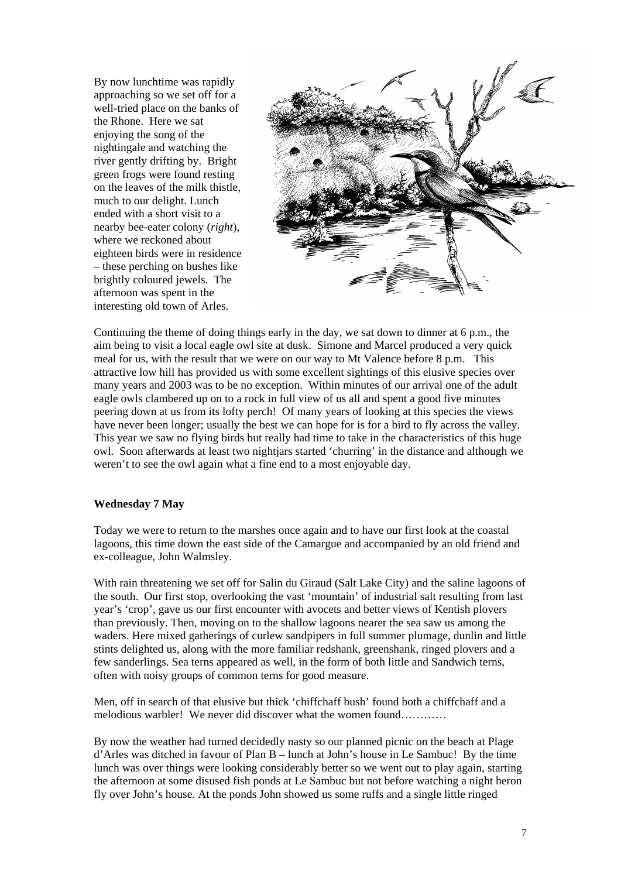By now lunchtime was rapidly approaching so we set off for a well-tried place on the banks of the Rhone. Here we sat enjoying the song of the nightingale and watching the river gently drifting by. Bright green frogs were found resting on the leaves of the milk thistle, much to our delight. Lunch ended with a short visit to a nearby bee-eater colony (*right*), where we reckoned about eighteen birds were in residence – these perching on bushes like brightly coloured jewels. The afternoon was spent in the interesting old town of Arles.



Continuing the theme of doing things early in the day, we sat down to dinner at 6 p.m., the aim being to visit a local eagle owl site at dusk. Simone and Marcel produced a very quick meal for us, with the result that we were on our way to Mt Valence before 8 p.m. This attractive low hill has provided us with some excellent sightings of this elusive species over many years and 2003 was to be no exception. Within minutes of our arrival one of the adult eagle owls clambered up on to a rock in full view of us all and spent a good five minutes peering down at us from its lofty perch! Of many years of looking at this species the views have never been longer; usually the best we can hope for is for a bird to fly across the valley. This year we saw no flying birds but really had time to take in the characteristics of this huge owl. Soon afterwards at least two nightjars started 'churring' in the distance and although we weren't to see the owl again what a fine end to a most enjoyable day.

#### **Wednesday 7 May**

Today we were to return to the marshes once again and to have our first look at the coastal lagoons, this time down the east side of the Camargue and accompanied by an old friend and ex-colleague, John Walmsley.

With rain threatening we set off for Salin du Giraud (Salt Lake City) and the saline lagoons of the south. Our first stop, overlooking the vast 'mountain' of industrial salt resulting from last year's 'crop', gave us our first encounter with avocets and better views of Kentish plovers than previously. Then, moving on to the shallow lagoons nearer the sea saw us among the waders. Here mixed gatherings of curlew sandpipers in full summer plumage, dunlin and little stints delighted us, along with the more familiar redshank, greenshank, ringed plovers and a few sanderlings. Sea terns appeared as well, in the form of both little and Sandwich terns, often with noisy groups of common terns for good measure.

Men, off in search of that elusive but thick 'chiffchaff bush' found both a chiffchaff and a melodious warbler! We never did discover what the women found…………

By now the weather had turned decidedly nasty so our planned picnic on the beach at Plage d'Arles was ditched in favour of Plan B – lunch at John's house in Le Sambuc! By the time lunch was over things were looking considerably better so we went out to play again, starting the afternoon at some disused fish ponds at Le Sambuc but not before watching a night heron fly over John's house. At the ponds John showed us some ruffs and a single little ringed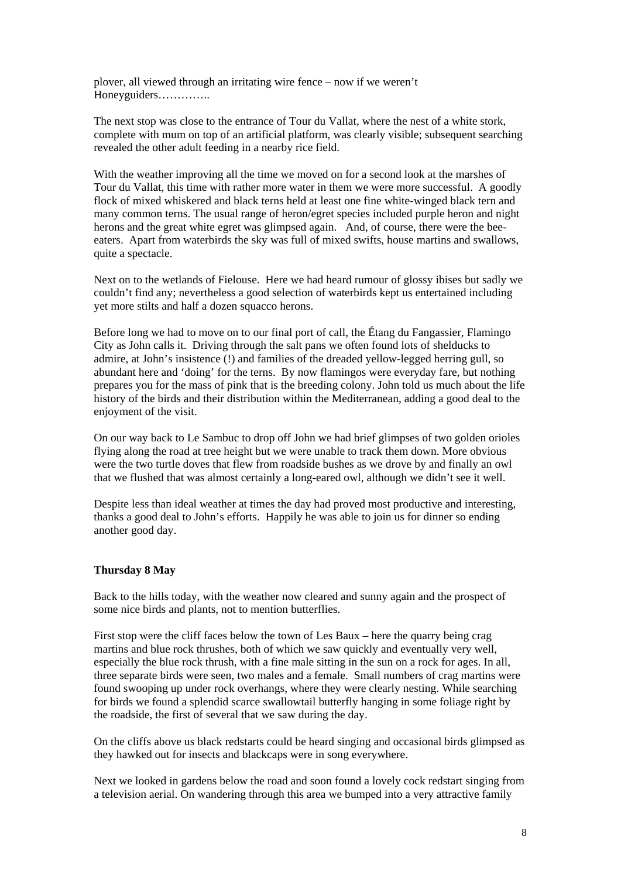plover, all viewed through an irritating wire fence – now if we weren't Honeyguiders…………..

The next stop was close to the entrance of Tour du Vallat, where the nest of a white stork, complete with mum on top of an artificial platform, was clearly visible; subsequent searching revealed the other adult feeding in a nearby rice field.

With the weather improving all the time we moved on for a second look at the marshes of Tour du Vallat, this time with rather more water in them we were more successful. A goodly flock of mixed whiskered and black terns held at least one fine white-winged black tern and many common terns. The usual range of heron/egret species included purple heron and night herons and the great white egret was glimpsed again. And, of course, there were the beeeaters. Apart from waterbirds the sky was full of mixed swifts, house martins and swallows, quite a spectacle.

Next on to the wetlands of Fielouse. Here we had heard rumour of glossy ibises but sadly we couldn't find any; nevertheless a good selection of waterbirds kept us entertained including yet more stilts and half a dozen squacco herons.

Before long we had to move on to our final port of call, the Étang du Fangassier, Flamingo City as John calls it. Driving through the salt pans we often found lots of shelducks to admire, at John's insistence (!) and families of the dreaded yellow-legged herring gull, so abundant here and 'doing' for the terns. By now flamingos were everyday fare, but nothing prepares you for the mass of pink that is the breeding colony. John told us much about the life history of the birds and their distribution within the Mediterranean, adding a good deal to the enjoyment of the visit.

On our way back to Le Sambuc to drop off John we had brief glimpses of two golden orioles flying along the road at tree height but we were unable to track them down. More obvious were the two turtle doves that flew from roadside bushes as we drove by and finally an owl that we flushed that was almost certainly a long-eared owl, although we didn't see it well.

Despite less than ideal weather at times the day had proved most productive and interesting, thanks a good deal to John's efforts. Happily he was able to join us for dinner so ending another good day.

#### **Thursday 8 May**

Back to the hills today, with the weather now cleared and sunny again and the prospect of some nice birds and plants, not to mention butterflies.

First stop were the cliff faces below the town of Les Baux – here the quarry being crag martins and blue rock thrushes, both of which we saw quickly and eventually very well, especially the blue rock thrush, with a fine male sitting in the sun on a rock for ages. In all, three separate birds were seen, two males and a female. Small numbers of crag martins were found swooping up under rock overhangs, where they were clearly nesting. While searching for birds we found a splendid scarce swallowtail butterfly hanging in some foliage right by the roadside, the first of several that we saw during the day.

On the cliffs above us black redstarts could be heard singing and occasional birds glimpsed as they hawked out for insects and blackcaps were in song everywhere.

Next we looked in gardens below the road and soon found a lovely cock redstart singing from a television aerial. On wandering through this area we bumped into a very attractive family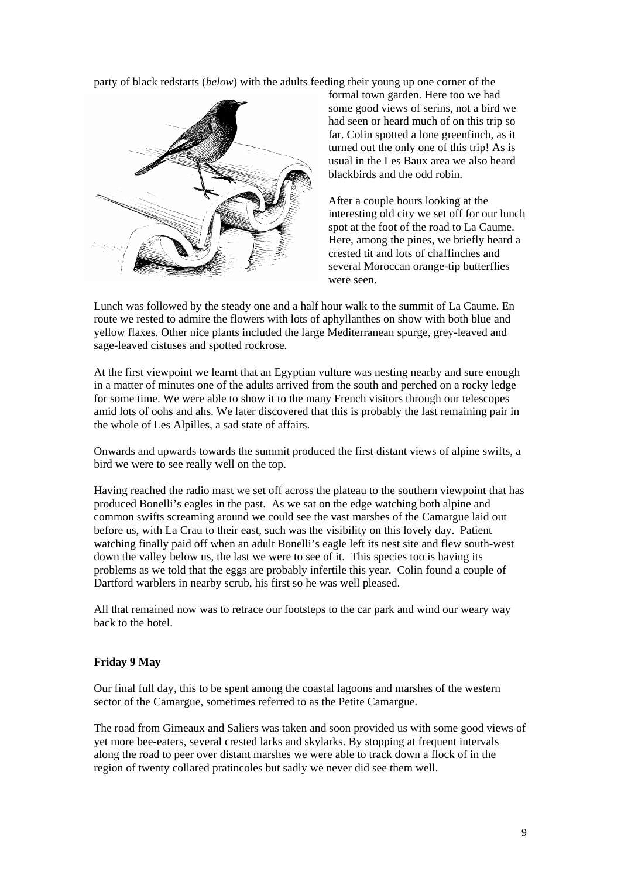party of black redstarts (*below*) with the adults feeding their young up one corner of the



formal town garden. Here too we had some good views of serins, not a bird we had seen or heard much of on this trip so far. Colin spotted a lone greenfinch, as it turned out the only one of this trip! As is usual in the Les Baux area we also heard blackbirds and the odd robin.

After a couple hours looking at the interesting old city we set off for our lunch spot at the foot of the road to La Caume. Here, among the pines, we briefly heard a crested tit and lots of chaffinches and several Moroccan orange-tip butterflies were seen.

Lunch was followed by the steady one and a half hour walk to the summit of La Caume. En route we rested to admire the flowers with lots of aphyllanthes on show with both blue and yellow flaxes. Other nice plants included the large Mediterranean spurge, grey-leaved and sage-leaved cistuses and spotted rockrose.

At the first viewpoint we learnt that an Egyptian vulture was nesting nearby and sure enough in a matter of minutes one of the adults arrived from the south and perched on a rocky ledge for some time. We were able to show it to the many French visitors through our telescopes amid lots of oohs and ahs. We later discovered that this is probably the last remaining pair in the whole of Les Alpilles, a sad state of affairs.

Onwards and upwards towards the summit produced the first distant views of alpine swifts, a bird we were to see really well on the top.

Having reached the radio mast we set off across the plateau to the southern viewpoint that has produced Bonelli's eagles in the past. As we sat on the edge watching both alpine and common swifts screaming around we could see the vast marshes of the Camargue laid out before us, with La Crau to their east, such was the visibility on this lovely day. Patient watching finally paid off when an adult Bonelli's eagle left its nest site and flew south-west down the valley below us, the last we were to see of it. This species too is having its problems as we told that the eggs are probably infertile this year. Colin found a couple of Dartford warblers in nearby scrub, his first so he was well pleased.

All that remained now was to retrace our footsteps to the car park and wind our weary way back to the hotel.

#### **Friday 9 May**

Our final full day, this to be spent among the coastal lagoons and marshes of the western sector of the Camargue, sometimes referred to as the Petite Camargue.

The road from Gimeaux and Saliers was taken and soon provided us with some good views of yet more bee-eaters, several crested larks and skylarks. By stopping at frequent intervals along the road to peer over distant marshes we were able to track down a flock of in the region of twenty collared pratincoles but sadly we never did see them well.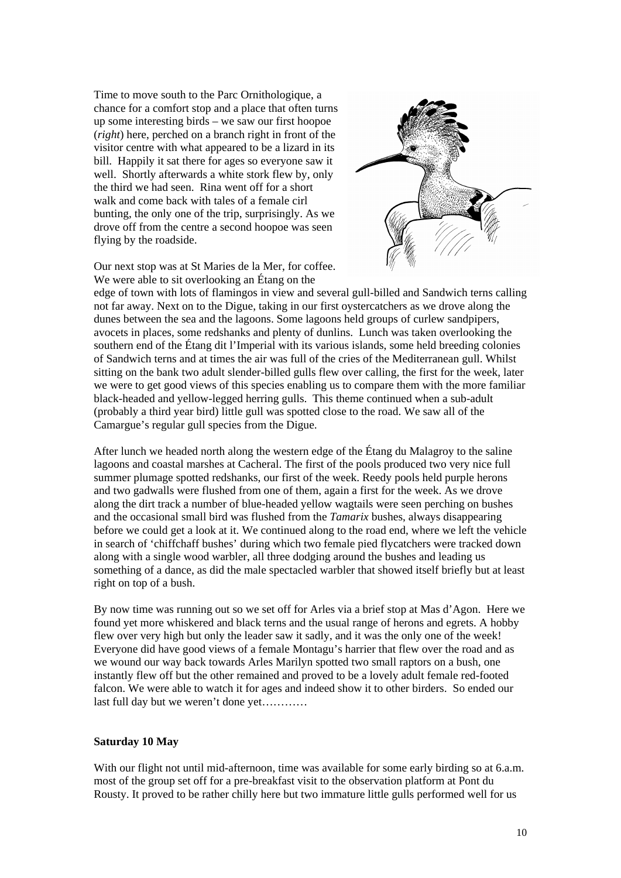Time to move south to the Parc Ornithologique, a chance for a comfort stop and a place that often turns up some interesting birds – we saw our first hoopoe (*right*) here, perched on a branch right in front of the visitor centre with what appeared to be a lizard in its bill. Happily it sat there for ages so everyone saw it well. Shortly afterwards a white stork flew by, only the third we had seen. Rina went off for a short walk and come back with tales of a female cirl bunting, the only one of the trip, surprisingly. As we drove off from the centre a second hoopoe was seen flying by the roadside.



Our next stop was at St Maries de la Mer, for coffee. We were able to sit overlooking an Étang on the

edge of town with lots of flamingos in view and several gull-billed and Sandwich terns calling not far away. Next on to the Digue, taking in our first oystercatchers as we drove along the dunes between the sea and the lagoons. Some lagoons held groups of curlew sandpipers, avocets in places, some redshanks and plenty of dunlins. Lunch was taken overlooking the southern end of the Étang dit l'Imperial with its various islands, some held breeding colonies of Sandwich terns and at times the air was full of the cries of the Mediterranean gull. Whilst sitting on the bank two adult slender-billed gulls flew over calling, the first for the week, later we were to get good views of this species enabling us to compare them with the more familiar black-headed and yellow-legged herring gulls. This theme continued when a sub-adult (probably a third year bird) little gull was spotted close to the road. We saw all of the Camargue's regular gull species from the Digue.

After lunch we headed north along the western edge of the Étang du Malagroy to the saline lagoons and coastal marshes at Cacheral. The first of the pools produced two very nice full summer plumage spotted redshanks, our first of the week. Reedy pools held purple herons and two gadwalls were flushed from one of them, again a first for the week. As we drove along the dirt track a number of blue-headed yellow wagtails were seen perching on bushes and the occasional small bird was flushed from the *Tamarix* bushes, always disappearing before we could get a look at it. We continued along to the road end, where we left the vehicle in search of 'chiffchaff bushes' during which two female pied flycatchers were tracked down along with a single wood warbler, all three dodging around the bushes and leading us something of a dance, as did the male spectacled warbler that showed itself briefly but at least right on top of a bush.

By now time was running out so we set off for Arles via a brief stop at Mas d'Agon. Here we found yet more whiskered and black terns and the usual range of herons and egrets. A hobby flew over very high but only the leader saw it sadly, and it was the only one of the week! Everyone did have good views of a female Montagu's harrier that flew over the road and as we wound our way back towards Arles Marilyn spotted two small raptors on a bush, one instantly flew off but the other remained and proved to be a lovely adult female red-footed falcon. We were able to watch it for ages and indeed show it to other birders. So ended our last full day but we weren't done yet…………

#### **Saturday 10 May**

With our flight not until mid-afternoon, time was available for some early birding so at 6.a.m. most of the group set off for a pre-breakfast visit to the observation platform at Pont du Rousty. It proved to be rather chilly here but two immature little gulls performed well for us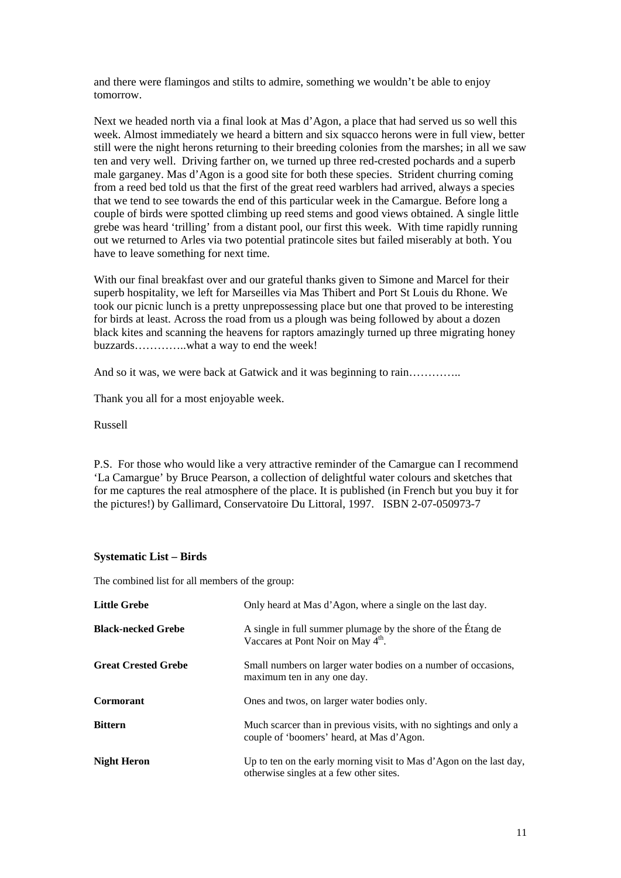and there were flamingos and stilts to admire, something we wouldn't be able to enjoy tomorrow.

Next we headed north via a final look at Mas d'Agon, a place that had served us so well this week. Almost immediately we heard a bittern and six squacco herons were in full view, better still were the night herons returning to their breeding colonies from the marshes; in all we saw ten and very well. Driving farther on, we turned up three red-crested pochards and a superb male garganey. Mas d'Agon is a good site for both these species. Strident churring coming from a reed bed told us that the first of the great reed warblers had arrived, always a species that we tend to see towards the end of this particular week in the Camargue. Before long a couple of birds were spotted climbing up reed stems and good views obtained. A single little grebe was heard 'trilling' from a distant pool, our first this week. With time rapidly running out we returned to Arles via two potential pratincole sites but failed miserably at both. You have to leave something for next time.

With our final breakfast over and our grateful thanks given to Simone and Marcel for their superb hospitality, we left for Marseilles via Mas Thibert and Port St Louis du Rhone. We took our picnic lunch is a pretty unprepossessing place but one that proved to be interesting for birds at least. Across the road from us a plough was being followed by about a dozen black kites and scanning the heavens for raptors amazingly turned up three migrating honey buzzards…………..what a way to end the week!

And so it was, we were back at Gatwick and it was beginning to rain..............

Thank you all for a most enjoyable week.

Russell

P.S. For those who would like a very attractive reminder of the Camargue can I recommend 'La Camargue' by Bruce Pearson, a collection of delightful water colours and sketches that for me captures the real atmosphere of the place. It is published (in French but you buy it for the pictures!) by Gallimard, Conservatoire Du Littoral, 1997. ISBN 2-07-050973-7

#### **Systematic List – Birds**

The combined list for all members of the group:

| <b>Little Grebe</b>        | Only heard at Mas d'Agon, where a single on the last day.                                                       |
|----------------------------|-----------------------------------------------------------------------------------------------------------------|
| <b>Black-necked Grebe</b>  | A single in full summer plumage by the shore of the Etang de<br>Vaccares at Pont Noir on May 4 <sup>th</sup> .  |
| <b>Great Crested Grebe</b> | Small numbers on larger water bodies on a number of occasions,<br>maximum ten in any one day.                   |
| <b>Cormorant</b>           | Ones and twos, on larger water bodies only.                                                                     |
| <b>Bittern</b>             | Much scarcer than in previous visits, with no sightings and only a<br>couple of 'boomers' heard, at Mas d'Agon. |
| <b>Night Heron</b>         | Up to ten on the early morning visit to Mas d'Agon on the last day,<br>otherwise singles at a few other sites.  |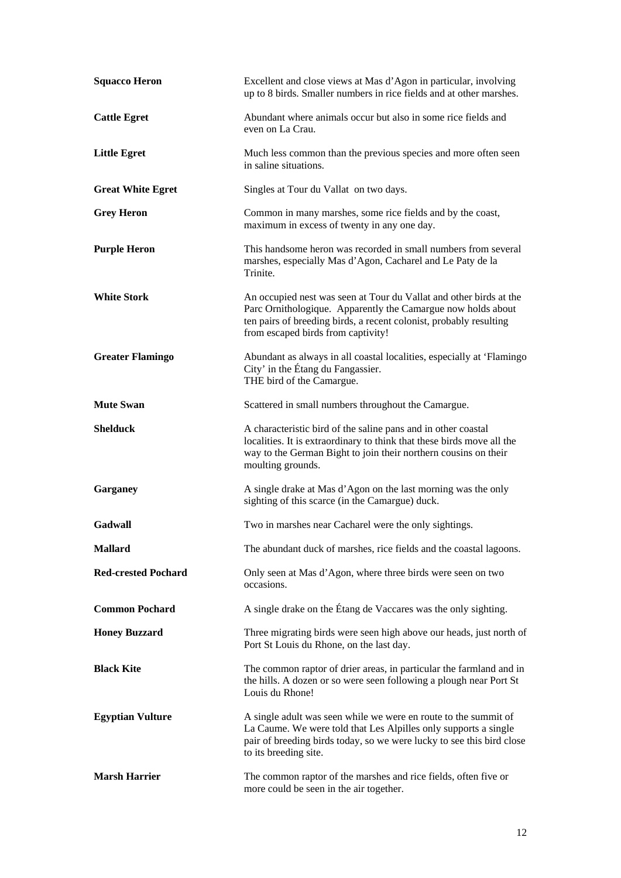| <b>Squacco Heron</b>       | Excellent and close views at Mas d'Agon in particular, involving<br>up to 8 birds. Smaller numbers in rice fields and at other marshes.                                                                                                        |
|----------------------------|------------------------------------------------------------------------------------------------------------------------------------------------------------------------------------------------------------------------------------------------|
| <b>Cattle Egret</b>        | Abundant where animals occur but also in some rice fields and<br>even on La Crau.                                                                                                                                                              |
| <b>Little Egret</b>        | Much less common than the previous species and more often seen<br>in saline situations.                                                                                                                                                        |
| <b>Great White Egret</b>   | Singles at Tour du Vallat on two days.                                                                                                                                                                                                         |
| <b>Grey Heron</b>          | Common in many marshes, some rice fields and by the coast,<br>maximum in excess of twenty in any one day.                                                                                                                                      |
| <b>Purple Heron</b>        | This handsome heron was recorded in small numbers from several<br>marshes, especially Mas d'Agon, Cacharel and Le Paty de la<br>Trinite.                                                                                                       |
| <b>White Stork</b>         | An occupied nest was seen at Tour du Vallat and other birds at the<br>Parc Ornithologique. Apparently the Camargue now holds about<br>ten pairs of breeding birds, a recent colonist, probably resulting<br>from escaped birds from captivity! |
| <b>Greater Flamingo</b>    | Abundant as always in all coastal localities, especially at 'Flamingo<br>City' in the Étang du Fangassier.<br>THE bird of the Camargue.                                                                                                        |
| <b>Mute Swan</b>           | Scattered in small numbers throughout the Camargue.                                                                                                                                                                                            |
| <b>Shelduck</b>            | A characteristic bird of the saline pans and in other coastal<br>localities. It is extraordinary to think that these birds move all the<br>way to the German Bight to join their northern cousins on their<br>moulting grounds.                |
| Garganey                   | A single drake at Mas d'Agon on the last morning was the only<br>sighting of this scarce (in the Camargue) duck.                                                                                                                               |
| Gadwall                    | Two in marshes near Cacharel were the only sightings.                                                                                                                                                                                          |
| <b>Mallard</b>             | The abundant duck of marshes, rice fields and the coastal lagoons.                                                                                                                                                                             |
| <b>Red-crested Pochard</b> | Only seen at Mas d'Agon, where three birds were seen on two<br>occasions.                                                                                                                                                                      |
| <b>Common Pochard</b>      | A single drake on the Étang de Vaccares was the only sighting.                                                                                                                                                                                 |
| <b>Honey Buzzard</b>       | Three migrating birds were seen high above our heads, just north of<br>Port St Louis du Rhone, on the last day.                                                                                                                                |
| <b>Black Kite</b>          | The common raptor of drier areas, in particular the farmland and in<br>the hills. A dozen or so were seen following a plough near Port St<br>Louis du Rhone!                                                                                   |
| <b>Egyptian Vulture</b>    | A single adult was seen while we were en route to the summit of<br>La Caume. We were told that Les Alpilles only supports a single<br>pair of breeding birds today, so we were lucky to see this bird close<br>to its breeding site.           |
| <b>Marsh Harrier</b>       | The common raptor of the marshes and rice fields, often five or<br>more could be seen in the air together.                                                                                                                                     |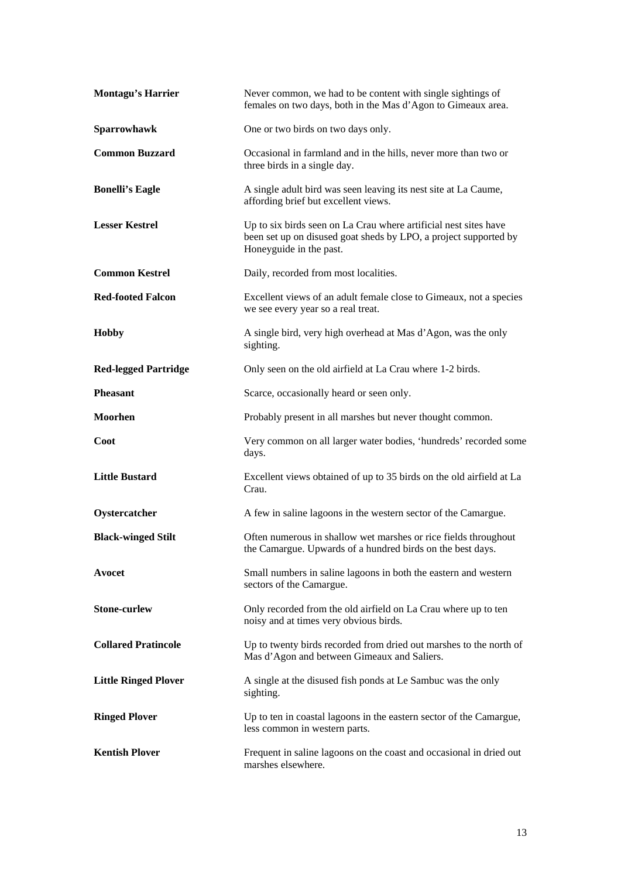| <b>Montagu's Harrier</b>    | Never common, we had to be content with single sightings of<br>females on two days, both in the Mas d'Agon to Gimeaux area.                                     |
|-----------------------------|-----------------------------------------------------------------------------------------------------------------------------------------------------------------|
| Sparrowhawk                 | One or two birds on two days only.                                                                                                                              |
| <b>Common Buzzard</b>       | Occasional in farmland and in the hills, never more than two or<br>three birds in a single day.                                                                 |
| <b>Bonelli's Eagle</b>      | A single adult bird was seen leaving its nest site at La Caume,<br>affording brief but excellent views.                                                         |
| <b>Lesser Kestrel</b>       | Up to six birds seen on La Crau where artificial nest sites have<br>been set up on disused goat sheds by LPO, a project supported by<br>Honeyguide in the past. |
| <b>Common Kestrel</b>       | Daily, recorded from most localities.                                                                                                                           |
| <b>Red-footed Falcon</b>    | Excellent views of an adult female close to Gimeaux, not a species<br>we see every year so a real treat.                                                        |
| <b>Hobby</b>                | A single bird, very high overhead at Mas d'Agon, was the only<br>sighting.                                                                                      |
| <b>Red-legged Partridge</b> | Only seen on the old airfield at La Crau where 1-2 birds.                                                                                                       |
| <b>Pheasant</b>             | Scarce, occasionally heard or seen only.                                                                                                                        |
| <b>Moorhen</b>              | Probably present in all marshes but never thought common.                                                                                                       |
| Coot                        | Very common on all larger water bodies, 'hundreds' recorded some<br>days.                                                                                       |
| <b>Little Bustard</b>       | Excellent views obtained of up to 35 birds on the old airfield at La<br>Crau.                                                                                   |
| Oystercatcher               | A few in saline lagoons in the western sector of the Camargue.                                                                                                  |
| <b>Black-winged Stilt</b>   | Often numerous in shallow wet marshes or rice fields throughout<br>the Camargue. Upwards of a hundred birds on the best days.                                   |
| Avocet                      | Small numbers in saline lagoons in both the eastern and western<br>sectors of the Camargue.                                                                     |
| <b>Stone-curlew</b>         | Only recorded from the old airfield on La Crau where up to ten<br>noisy and at times very obvious birds.                                                        |
| <b>Collared Pratincole</b>  | Up to twenty birds recorded from dried out marshes to the north of<br>Mas d'Agon and between Gimeaux and Saliers.                                               |
| <b>Little Ringed Plover</b> | A single at the disused fish ponds at Le Sambuc was the only<br>sighting.                                                                                       |
| <b>Ringed Plover</b>        | Up to ten in coastal lagoons in the eastern sector of the Camargue,<br>less common in western parts.                                                            |
| <b>Kentish Plover</b>       | Frequent in saline lagoons on the coast and occasional in dried out<br>marshes elsewhere.                                                                       |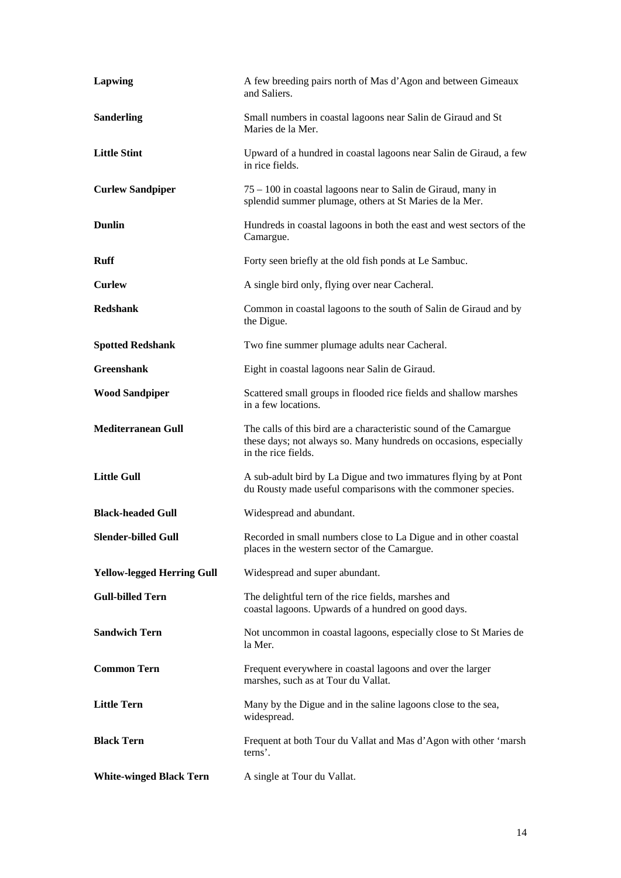| Lapwing                           | A few breeding pairs north of Mas d'Agon and between Gimeaux<br>and Saliers.                                                                                  |
|-----------------------------------|---------------------------------------------------------------------------------------------------------------------------------------------------------------|
| <b>Sanderling</b>                 | Small numbers in coastal lagoons near Salin de Giraud and St<br>Maries de la Mer.                                                                             |
| <b>Little Stint</b>               | Upward of a hundred in coastal lagoons near Salin de Giraud, a few<br>in rice fields.                                                                         |
| <b>Curlew Sandpiper</b>           | $75 - 100$ in coastal lagoons near to Salin de Giraud, many in<br>splendid summer plumage, others at St Maries de la Mer.                                     |
| <b>Dunlin</b>                     | Hundreds in coastal lagoons in both the east and west sectors of the<br>Camargue.                                                                             |
| <b>Ruff</b>                       | Forty seen briefly at the old fish ponds at Le Sambuc.                                                                                                        |
| <b>Curlew</b>                     | A single bird only, flying over near Cacheral.                                                                                                                |
| <b>Redshank</b>                   | Common in coastal lagoons to the south of Salin de Giraud and by<br>the Digue.                                                                                |
| <b>Spotted Redshank</b>           | Two fine summer plumage adults near Cacheral.                                                                                                                 |
| <b>Greenshank</b>                 | Eight in coastal lagoons near Salin de Giraud.                                                                                                                |
| <b>Wood Sandpiper</b>             | Scattered small groups in flooded rice fields and shallow marshes<br>in a few locations.                                                                      |
| <b>Mediterranean Gull</b>         | The calls of this bird are a characteristic sound of the Camargue<br>these days; not always so. Many hundreds on occasions, especially<br>in the rice fields. |
| <b>Little Gull</b>                | A sub-adult bird by La Digue and two immatures flying by at Pont<br>du Rousty made useful comparisons with the commoner species.                              |
| <b>Black-headed Gull</b>          | Widespread and abundant.                                                                                                                                      |
| <b>Slender-billed Gull</b>        | Recorded in small numbers close to La Digue and in other coastal<br>places in the western sector of the Camargue.                                             |
| <b>Yellow-legged Herring Gull</b> | Widespread and super abundant.                                                                                                                                |
| <b>Gull-billed Tern</b>           | The delightful tern of the rice fields, marshes and<br>coastal lagoons. Upwards of a hundred on good days.                                                    |
| <b>Sandwich Tern</b>              | Not uncommon in coastal lagoons, especially close to St Maries de<br>la Mer.                                                                                  |
| <b>Common Tern</b>                | Frequent everywhere in coastal lagoons and over the larger<br>marshes, such as at Tour du Vallat.                                                             |
| <b>Little Tern</b>                | Many by the Digue and in the saline lagoons close to the sea,<br>widespread.                                                                                  |
| <b>Black Tern</b>                 | Frequent at both Tour du Vallat and Mas d'Agon with other 'marsh<br>terns'.                                                                                   |
| <b>White-winged Black Tern</b>    | A single at Tour du Vallat.                                                                                                                                   |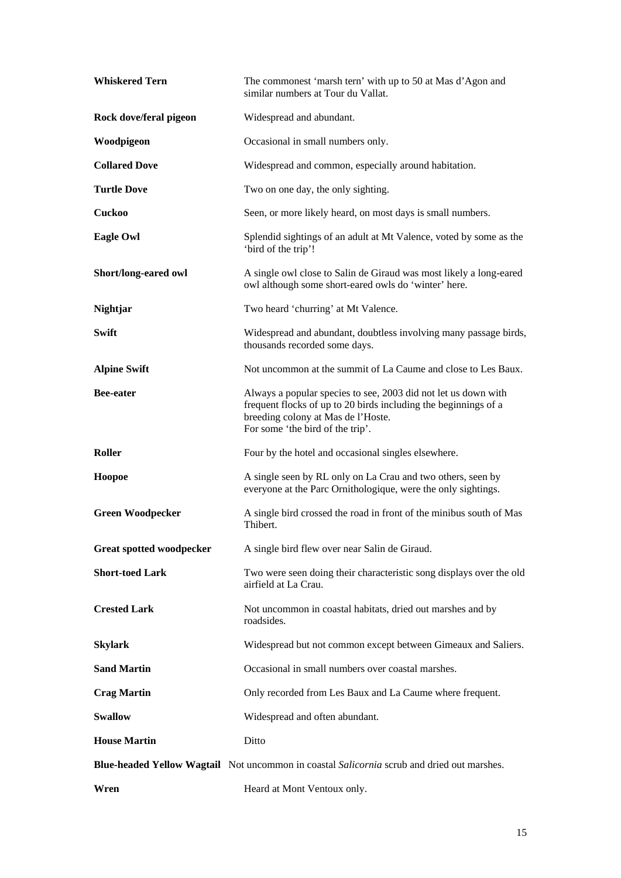| <b>Whiskered Tern</b>           | The commonest 'marsh tern' with up to 50 at Mas d'Agon and<br>similar numbers at Tour du Vallat.                                                                                                            |
|---------------------------------|-------------------------------------------------------------------------------------------------------------------------------------------------------------------------------------------------------------|
| Rock dove/feral pigeon          | Widespread and abundant.                                                                                                                                                                                    |
| Woodpigeon                      | Occasional in small numbers only.                                                                                                                                                                           |
| <b>Collared Dove</b>            | Widespread and common, especially around habitation.                                                                                                                                                        |
| <b>Turtle Dove</b>              | Two on one day, the only sighting.                                                                                                                                                                          |
| <b>Cuckoo</b>                   | Seen, or more likely heard, on most days is small numbers.                                                                                                                                                  |
| <b>Eagle Owl</b>                | Splendid sightings of an adult at Mt Valence, voted by some as the<br>'bird of the trip'!                                                                                                                   |
| Short/long-eared owl            | A single owl close to Salin de Giraud was most likely a long-eared<br>owl although some short-eared owls do 'winter' here.                                                                                  |
| Nightjar                        | Two heard 'churring' at Mt Valence.                                                                                                                                                                         |
| <b>Swift</b>                    | Widespread and abundant, doubtless involving many passage birds,<br>thousands recorded some days.                                                                                                           |
| <b>Alpine Swift</b>             | Not uncommon at the summit of La Caume and close to Les Baux.                                                                                                                                               |
| <b>Bee-eater</b>                | Always a popular species to see, 2003 did not let us down with<br>frequent flocks of up to 20 birds including the beginnings of a<br>breeding colony at Mas de l'Hoste.<br>For some 'the bird of the trip'. |
| Roller                          | Four by the hotel and occasional singles elsewhere.                                                                                                                                                         |
| Hoopoe                          | A single seen by RL only on La Crau and two others, seen by<br>everyone at the Parc Ornithologique, were the only sightings.                                                                                |
| <b>Green Woodpecker</b>         | A single bird crossed the road in front of the minibus south of Mas<br>Thibert.                                                                                                                             |
| <b>Great spotted woodpecker</b> | A single bird flew over near Salin de Giraud.                                                                                                                                                               |
| <b>Short-toed Lark</b>          | Two were seen doing their characteristic song displays over the old<br>airfield at La Crau.                                                                                                                 |
| <b>Crested Lark</b>             | Not uncommon in coastal habitats, dried out marshes and by<br>roadsides.                                                                                                                                    |
| <b>Skylark</b>                  | Widespread but not common except between Gimeaux and Saliers.                                                                                                                                               |
| <b>Sand Martin</b>              | Occasional in small numbers over coastal marshes.                                                                                                                                                           |
| <b>Crag Martin</b>              | Only recorded from Les Baux and La Caume where frequent.                                                                                                                                                    |
| <b>Swallow</b>                  | Widespread and often abundant.                                                                                                                                                                              |
| <b>House Martin</b>             | Ditto                                                                                                                                                                                                       |
|                                 | Blue-headed Yellow Wagtail Not uncommon in coastal Salicornia scrub and dried out marshes.                                                                                                                  |
| Wren                            | Heard at Mont Ventoux only.                                                                                                                                                                                 |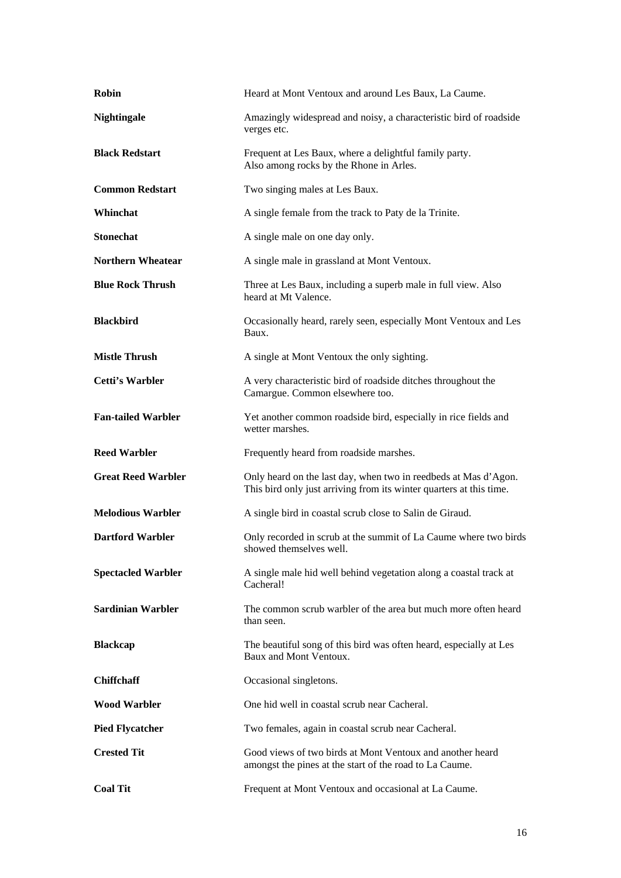| <b>Robin</b>              | Heard at Mont Ventoux and around Les Baux, La Caume.                                                                                   |
|---------------------------|----------------------------------------------------------------------------------------------------------------------------------------|
| <b>Nightingale</b>        | Amazingly widespread and noisy, a characteristic bird of roadside<br>verges etc.                                                       |
| <b>Black Redstart</b>     | Frequent at Les Baux, where a delightful family party.<br>Also among rocks by the Rhone in Arles.                                      |
| <b>Common Redstart</b>    | Two singing males at Les Baux.                                                                                                         |
| Whinchat                  | A single female from the track to Paty de la Trinite.                                                                                  |
| <b>Stonechat</b>          | A single male on one day only.                                                                                                         |
| <b>Northern Wheatear</b>  | A single male in grassland at Mont Ventoux.                                                                                            |
| <b>Blue Rock Thrush</b>   | Three at Les Baux, including a superb male in full view. Also<br>heard at Mt Valence.                                                  |
| <b>Blackbird</b>          | Occasionally heard, rarely seen, especially Mont Ventoux and Les<br>Baux.                                                              |
| <b>Mistle Thrush</b>      | A single at Mont Ventoux the only sighting.                                                                                            |
| Cetti's Warbler           | A very characteristic bird of roadside ditches throughout the<br>Camargue. Common elsewhere too.                                       |
| <b>Fan-tailed Warbler</b> | Yet another common roadside bird, especially in rice fields and<br>wetter marshes.                                                     |
| <b>Reed Warbler</b>       | Frequently heard from roadside marshes.                                                                                                |
| <b>Great Reed Warbler</b> | Only heard on the last day, when two in reedbeds at Mas d'Agon.<br>This bird only just arriving from its winter quarters at this time. |
|                           |                                                                                                                                        |
| <b>Melodious Warbler</b>  | A single bird in coastal scrub close to Salin de Giraud.                                                                               |
| <b>Dartford Warbler</b>   | Only recorded in scrub at the summit of La Caume where two birds<br>showed themselves well.                                            |
| <b>Spectacled Warbler</b> | A single male hid well behind vegetation along a coastal track at<br>Cacheral!                                                         |
| <b>Sardinian Warbler</b>  | The common scrub warbler of the area but much more often heard<br>than seen.                                                           |
| <b>Blackcap</b>           | The beautiful song of this bird was often heard, especially at Les<br>Baux and Mont Ventoux.                                           |
| <b>Chiffchaff</b>         | Occasional singletons.                                                                                                                 |
| <b>Wood Warbler</b>       | One hid well in coastal scrub near Cacheral.                                                                                           |
| <b>Pied Flycatcher</b>    | Two females, again in coastal scrub near Cacheral.                                                                                     |
| <b>Crested Tit</b>        | Good views of two birds at Mont Ventoux and another heard<br>amongst the pines at the start of the road to La Caume.                   |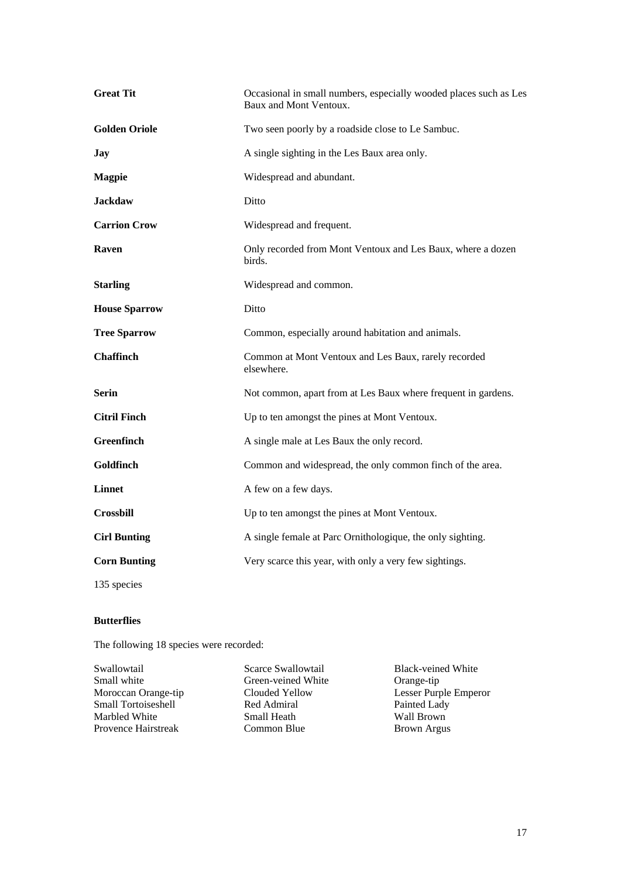| <b>Great Tit</b>     | Occasional in small numbers, especially wooded places such as Les<br>Baux and Mont Ventoux. |
|----------------------|---------------------------------------------------------------------------------------------|
| <b>Golden Oriole</b> | Two seen poorly by a roadside close to Le Sambuc.                                           |
| Jay                  | A single sighting in the Les Baux area only.                                                |
| <b>Magpie</b>        | Widespread and abundant.                                                                    |
| <b>Jackdaw</b>       | Ditto                                                                                       |
| <b>Carrion Crow</b>  | Widespread and frequent.                                                                    |
| Raven                | Only recorded from Mont Ventoux and Les Baux, where a dozen<br>birds.                       |
| <b>Starling</b>      | Widespread and common.                                                                      |
| <b>House Sparrow</b> | Ditto                                                                                       |
| <b>Tree Sparrow</b>  | Common, especially around habitation and animals.                                           |
| <b>Chaffinch</b>     | Common at Mont Ventoux and Les Baux, rarely recorded<br>elsewhere.                          |
| <b>Serin</b>         | Not common, apart from at Les Baux where frequent in gardens.                               |
| <b>Citril Finch</b>  | Up to ten amongst the pines at Mont Ventoux.                                                |
| Greenfinch           | A single male at Les Baux the only record.                                                  |
| Goldfinch            | Common and widespread, the only common finch of the area.                                   |
| <b>Linnet</b>        | A few on a few days.                                                                        |
| <b>Crossbill</b>     | Up to ten amongst the pines at Mont Ventoux.                                                |
| <b>Cirl Bunting</b>  | A single female at Parc Ornithologique, the only sighting.                                  |
| <b>Corn Bunting</b>  | Very scarce this year, with only a very few sightings.                                      |
| 135 species          |                                                                                             |

#### **Butterflies**

The following 18 species were recorded:

Small white Green-veined White<br>Moroccan Orange-tip Clouded Yellow Small Tortoiseshell **Red Admiral** Painted Lady<br>
Marbled White **Small Heath** Wall Brown Marbled White Small Heath Wall Brown<br>Provence Hairstreak Common Blue Brown Argus Provence Hairstreak

Swallowtail Scarce Swallowtail Black-veined White<br>
Small white Green-veined White Orange-tip Clouded Yellow Lesser Purple Emperor<br>
Red Admiral Painted Lady